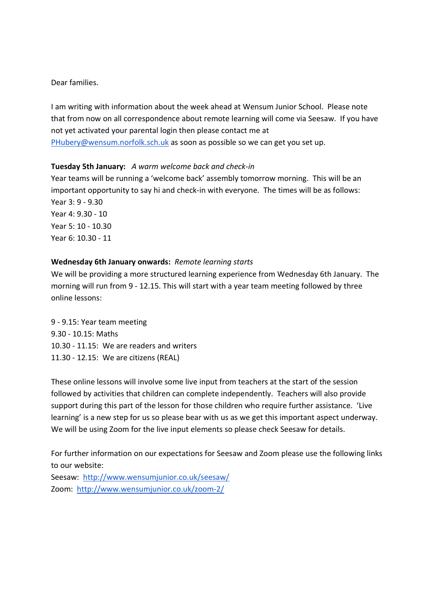Dear families.

I am writing with information about the week ahead at Wensum Junior School. Please note that from now on all correspondence about remote learning will come via Seesaw. If you have not yet activated your parental login then please contact me at PHubery@wensum.norfolk.sch.uk as soon as possible so we can get you set up.

## **Tuesday 5th January:** *A warm welcome back and check-in*

Year teams will be running a 'welcome back' assembly tomorrow morning. This will be an important opportunity to say hi and check-in with everyone. The times will be as follows: Year 3: 9 - 9.30 Year 4: 9.30 - 10 Year 5: 10 - 10.30 Year 6: 10.30 - 11

## **Wednesday 6th January onwards:** *Remote learning starts*

We will be providing a more structured learning experience from Wednesday 6th January. The morning will run from 9 - 12.15. This will start with a year team meeting followed by three online lessons:

9 - 9.15: Year team meeting 9.30 - 10.15: Maths 10.30 - 11.15: We are readers and writers 11.30 - 12.15: We are citizens (REAL)

These online lessons will involve some live input from teachers at the start of the session followed by activities that children can complete independently. Teachers will also provide support during this part of the lesson for those children who require further assistance. 'Live learning' is a new step for us so please bear with us as we get this important aspect underway. We will be using Zoom for the live input elements so please check Seesaw for details.

For further information on our expectations for Seesaw and Zoom please use the following links to our website:

Seesaw: http://www.wensumjunior.co.uk/seesaw/ Zoom: http://www.wensumjunior.co.uk/zoom-2/